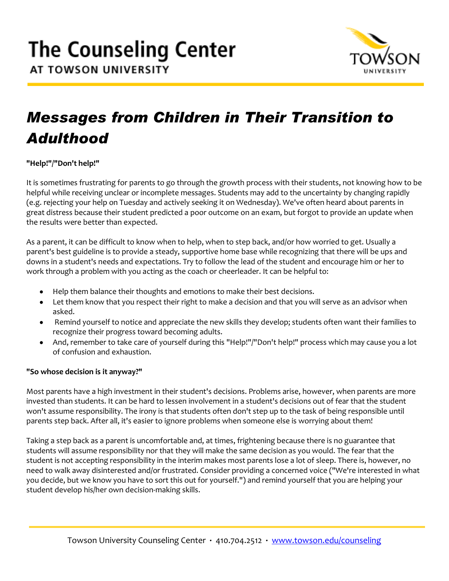

## *Messages from Children in Their Transition to Adulthood*

**"Help!"/"Don't help!"** 

It is sometimes frustrating for parents to go through the growth process with their students, not knowing how to be helpful while receiving unclear or incomplete messages. Students may add to the uncertainty by changing rapidly (e.g. rejecting your help on Tuesday and actively seeking it on Wednesday). We've often heard about parents in great distress because their student predicted a poor outcome on an exam, but forgot to provide an update when the results were better than expected.

As a parent, it can be difficult to know when to help, when to step back, and/or how worried to get. Usually a parent's best guideline is to provide a steady, supportive home base while recognizing that there will be ups and downs in a student's needs and expectations. Try to follow the lead of the student and encourage him or her to work through a problem with you acting as the coach or cheerleader. It can be helpful to:

- Help them balance their thoughts and emotions to make their best decisions.
- Let them know that you respect their right to make a decision and that you will serve as an advisor when asked.
- Remind yourself to notice and appreciate the new skills they develop; students often want their families to recognize their progress toward becoming adults.
- And, remember to take care of yourself during this "Help!"/"Don't help!" process which may cause you a lot of confusion and exhaustion.

### **"So whose decision is it anyway?"**

Most parents have a high investment in their student's decisions. Problems arise, however, when parents are more invested than students. It can be hard to lessen involvement in a student's decisions out of fear that the student won't assume responsibility. The irony is that students often don't step up to the task of being responsible until parents step back. After all, it's easier to ignore problems when someone else is worrying about them!

Taking a step back as a parent is uncomfortable and, at times, frightening because there is no guarantee that students will assume responsibility nor that they will make the same decision as you would. The fear that the student is not accepting responsibility in the interim makes most parents lose a lot of sleep. There is, however, no need to walk away disinterested and/or frustrated. Consider providing a concerned voice ("We're interested in what you decide, but we know you have to sort this out for yourself.") and remind yourself that you are helping your student develop his/her own decision-making skills.